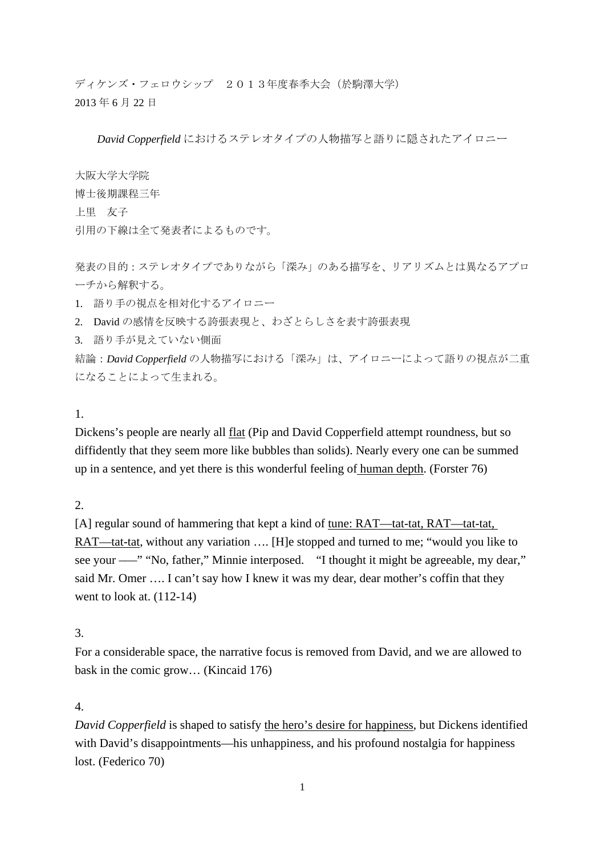ディケンズ・フェロウシップ 2013年度春季大会(於駒澤大学) 2013 年 6 月 22 日

*David Copperfield* におけるステレオタイプの人物描写と語りに隠されたアイロニー

大阪大学大学院 博士後期課程三年 上里 友子 引用の下線は全て発表者によるものです。

発表の目的:ステレオタイプでありながら「深み」のある描写を、リアリズムとは異なるアプロ ーチから解釈する。

1. 語り手の視点を相対化するアイロニー

2. David の感情を反映する誇張表現と、わざとらしさを表す誇張表現

3. 語り手が見えていない側面

結論:*David Copperfield* の人物描写における「深み」は、アイロニーによって語りの視点が二重 になることによって生まれる。

### 1.

Dickens's people are nearly all flat (Pip and David Copperfield attempt roundness, but so diffidently that they seem more like bubbles than solids). Nearly every one can be summed up in a sentence, and yet there is this wonderful feeling of human depth. (Forster 76)

2.

[A] regular sound of hammering that kept a kind of tune: RAT—tat-tat, RAT—tat-tat, RAT—tat-tat, without any variation …. [H]e stopped and turned to me; "would you like to see your — " "No, father," Minnie interposed. "I thought it might be agreeable, my dear," said Mr. Omer …. I can't say how I knew it was my dear, dear mother's coffin that they went to look at. (112-14)

# 3.

For a considerable space, the narrative focus is removed from David, and we are allowed to bask in the comic grow… (Kincaid 176)

# 4.

*David Copperfield* is shaped to satisfy the hero's desire for happiness, but Dickens identified with David's disappointments—his unhappiness, and his profound nostalgia for happiness lost. (Federico 70)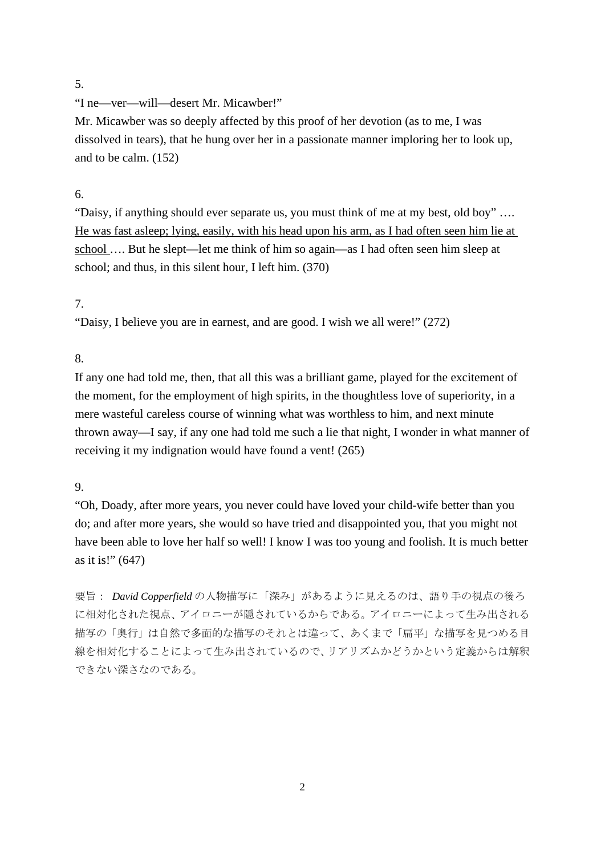#### 5.

"I ne—ver—will—desert Mr. Micawber!"

Mr. Micawber was so deeply affected by this proof of her devotion (as to me, I was dissolved in tears), that he hung over her in a passionate manner imploring her to look up, and to be calm. (152)

#### 6.

"Daisy, if anything should ever separate us, you must think of me at my best, old boy" …. He was fast asleep; lying, easily, with his head upon his arm, as I had often seen him lie at school …. But he slept—let me think of him so again—as I had often seen him sleep at school; and thus, in this silent hour, I left him. (370)

#### 7.

"Daisy, I believe you are in earnest, and are good. I wish we all were!" (272)

### 8.

If any one had told me, then, that all this was a brilliant game, played for the excitement of the moment, for the employment of high spirits, in the thoughtless love of superiority, in a mere wasteful careless course of winning what was worthless to him, and next minute thrown away—I say, if any one had told me such a lie that night, I wonder in what manner of receiving it my indignation would have found a vent! (265)

### 9.

"Oh, Doady, after more years, you never could have loved your child-wife better than you do; and after more years, she would so have tried and disappointed you, that you might not have been able to love her half so well! I know I was too young and foolish. It is much better as it is!" (647)

要旨: *David Copperfield* の人物描写に「深み」があるように見えるのは、語り手の視点の後ろ に相対化された視点、アイロニーが隠されているからである。アイロニーによって生み出される 描写の「奥行」は自然で多面的な描写のそれとは違って、あくまで「扁平」な描写を見つめる目 線を相対化することによって生み出されているので、リアリズムかどうかという定義からは解釈 できない深さなのである。